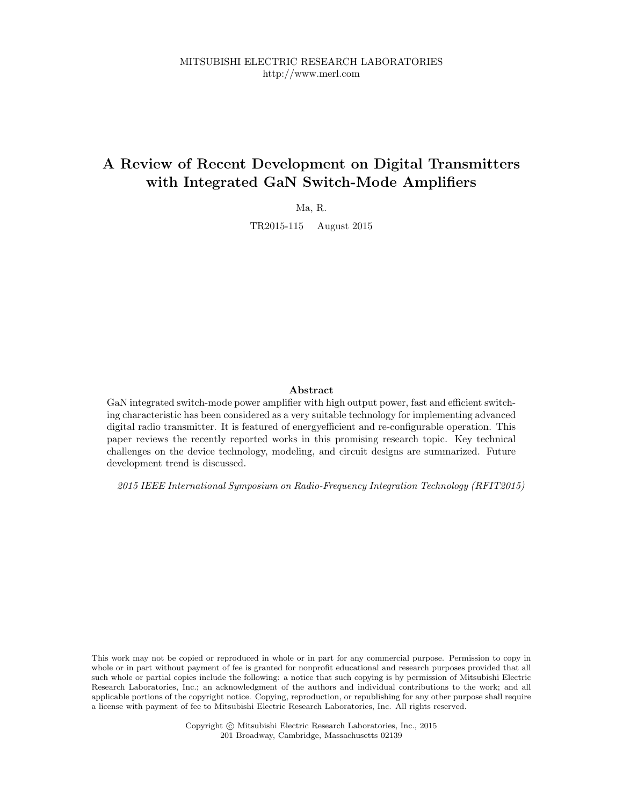# A Review of Recent Development on Digital Transmitters with Integrated GaN Switch-Mode Amplifiers

Ma, R.

TR2015-115 August 2015

# Abstract

GaN integrated switch-mode power amplifier with high output power, fast and efficient switching characteristic has been considered as a very suitable technology for implementing advanced digital radio transmitter. It is featured of energyefficient and re-configurable operation. This paper reviews the recently reported works in this promising research topic. Key technical challenges on the device technology, modeling, and circuit designs are summarized. Future development trend is discussed.

2015 IEEE International Symposium on Radio-Frequency Integration Technology (RFIT2015)

This work may not be copied or reproduced in whole or in part for any commercial purpose. Permission to copy in whole or in part without payment of fee is granted for nonprofit educational and research purposes provided that all such whole or partial copies include the following: a notice that such copying is by permission of Mitsubishi Electric Research Laboratories, Inc.; an acknowledgment of the authors and individual contributions to the work; and all applicable portions of the copyright notice. Copying, reproduction, or republishing for any other purpose shall require a license with payment of fee to Mitsubishi Electric Research Laboratories, Inc. All rights reserved.

> Copyright © Mitsubishi Electric Research Laboratories, Inc., 2015 201 Broadway, Cambridge, Massachusetts 02139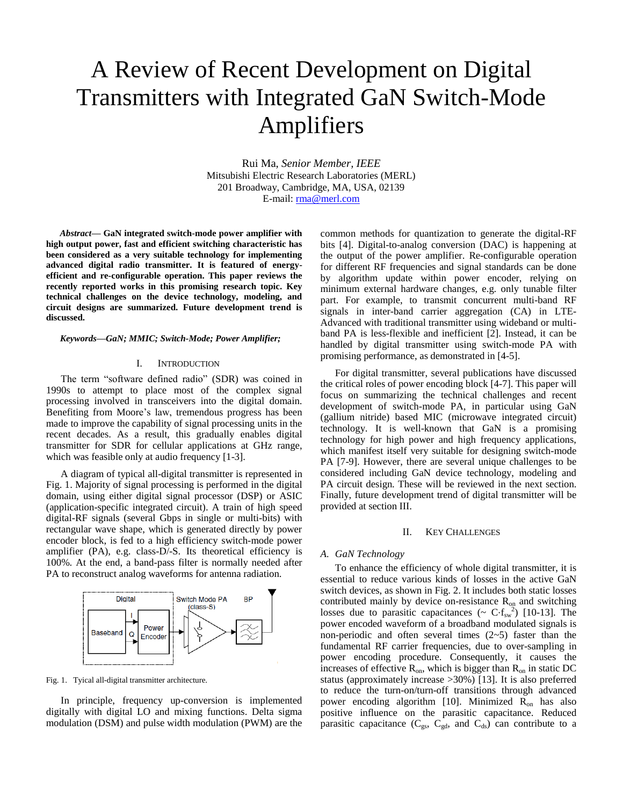# A Review of Recent Development on Digital Transmitters with Integrated GaN Switch-Mode Amplifiers

Rui Ma, *Senior Member, IEEE* Mitsubishi Electric Research Laboratories (MERL) 201 Broadway, Cambridge, MA, USA, 02139 E-mail: rma@merl.com

*Abstract***— GaN integrated switch-mode power amplifier with high output power, fast and efficient switching characteristic has been considered as a very suitable technology for implementing advanced digital radio transmitter. It is featured of energyefficient and re-configurable operation. This paper reviews the recently reported works in this promising research topic. Key technical challenges on the device technology, modeling, and circuit designs are summarized. Future development trend is discussed.**

*Keywords—GaN; MMIC; Switch-Mode; Power Amplifier;* 

### I. INTRODUCTION

The term "software defined radio" (SDR) was coined in 1990s to attempt to place most of the complex signal processing involved in transceivers into the digital domain. Benefiting from Moore's law, tremendous progress has been made to improve the capability of signal processing units in the recent decades. As a result, this gradually enables digital transmitter for SDR for cellular applications at GHz range, which was feasible only at audio frequency [1-3].

A diagram of typical all-digital transmitter is represented in Fig. 1. Majority of signal processing is performed in the digital domain, using either digital signal processor (DSP) or ASIC (application-specific integrated circuit). A train of high speed digital-RF signals (several Gbps in single or multi-bits) with rectangular wave shape, which is generated directly by power encoder block, is fed to a high efficiency switch-mode power amplifier (PA), e.g. class-D/-S. Its theoretical efficiency is 100%. At the end, a band-pass filter is normally needed after PA to reconstruct analog waveforms for antenna radiation.



Fig. 1. Tyical all-digital transmitter architecture.

In principle, frequency up-conversion is implemented digitally with digital LO and mixing functions. Delta sigma modulation (DSM) and pulse width modulation (PWM) are the common methods for quantization to generate the digital-RF bits [4]. Digital-to-analog conversion (DAC) is happening at the output of the power amplifier. Re-configurable operation for different RF frequencies and signal standards can be done by algorithm update within power encoder, relying on minimum external hardware changes, e.g. only tunable filter part. For example, to transmit concurrent multi-band RF signals in inter-band carrier aggregation (CA) in LTE-Advanced with traditional transmitter using wideband or multiband PA is less-flexible and inefficient [2]. Instead, it can be handled by digital transmitter using switch-mode PA with promising performance, as demonstrated in [4-5].

For digital transmitter, several publications have discussed the critical roles of power encoding block [4-7]. This paper will focus on summarizing the technical challenges and recent development of switch-mode PA, in particular using GaN (gallium nitride) based MIC (microwave integrated circuit) technology. It is well-known that GaN is a promising technology for high power and high frequency applications, which manifest itself very suitable for designing switch-mode PA [7-9]. However, there are several unique challenges to be considered including GaN device technology, modeling and PA circuit design. These will be reviewed in the next section. Finally, future development trend of digital transmitter will be provided at section III.

## II. KEY CHALLENGES

#### *A. GaN Technology*

To enhance the efficiency of whole digital transmitter, it is essential to reduce various kinds of losses in the active GaN switch devices, as shown in Fig. 2. It includes both static losses contributed mainly by device on-resistance  $R_{op}$  and switching losses due to parasitic capacitances ( $\sim$  C⋅f<sub>sw</sub><sup>2</sup>) [10-13]. The power encoded waveform of a broadband modulated signals is non-periodic and often several times  $(2-5)$  faster than the fundamental RF carrier frequencies, due to over-sampling in power encoding procedure. Consequently, it causes the increases of effective  $R_{on}$ , which is bigger than  $R_{on}$  in static DC status (approximately increase >30%) [13]. It is also preferred to reduce the turn-on/turn-off transitions through advanced power encoding algorithm [10]. Minimized  $R_{on}$  has also positive influence on the parasitic capacitance. Reduced parasitic capacitance ( $C_{gs}$ ,  $C_{gd}$ , and  $C_{ds}$ ) can contribute to a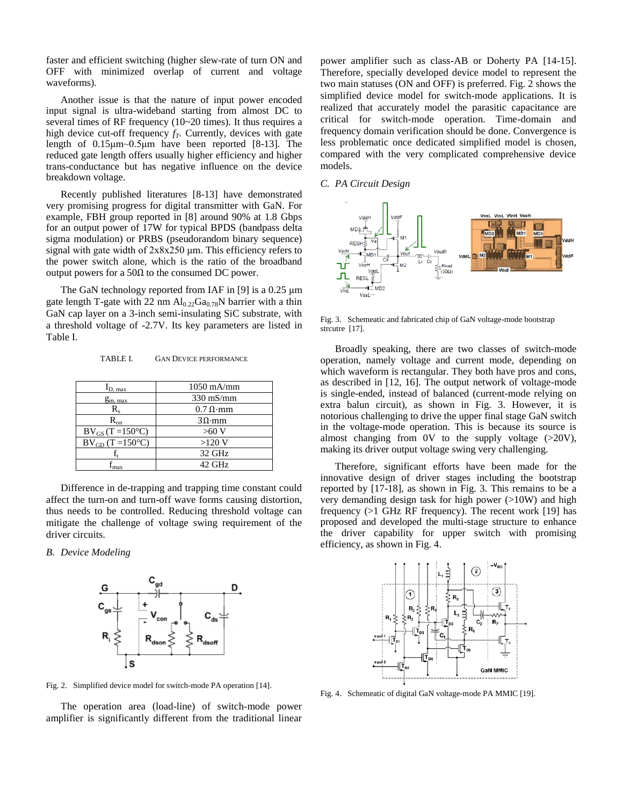faster and efficient switching (higher slew-rate of turn ON and OFF with minimized overlap of current and voltage waveforms).

Another issue is that the nature of input power encoded input signal is ultra-wideband starting from almost DC to several times of RF frequency (10~20 times). It thus requires a high device cut-off frequency  $f_T$ . Currently, devices with gate length of 0.15μm~0.5μm have been reported [8-13]. The reduced gate length offers usually higher efficiency and higher trans-conductance but has negative influence on the device breakdown voltage.

Recently published literatures [8-13] have demonstrated very promising progress for digital transmitter with GaN. For example, FBH group reported in [8] around 90% at 1.8 Gbps for an output power of 17W for typical BPDS (bandpass delta sigma modulation) or PRBS (pseudorandom binary sequence) signal with gate width of 2x8x250 μm. This efficiency refers to the power switch alone, which is the ratio of the broadband output powers for a 50Ω to the consumed DC power.

The GaN technology reported from IAF in [9] is a 0.25 μm gate length T-gate with 22 nm  $Al_{0.22}Ga_{0.78}N$  barrier with a thin GaN cap layer on a 3-inch semi-insulating SiC substrate, with a threshold voltage of -2.7V. Its key parameters are listed in Table I.

|  | TABLE I. | <b>GAN DEVICE PERFORMANCE</b> |
|--|----------|-------------------------------|
|--|----------|-------------------------------|

| D. max                       | $1050$ mA/mm     |
|------------------------------|------------------|
| $g_{m, max}$                 | $330$ mS/mm      |
| $R_{\rm c}$                  | $0.7 \Omega$ ·mm |
| $R_{on}$                     | $3\Omega$ ·mm    |
| $BV_{GS} (T = 150^{\circ}C)$ | >60 V            |
| $BV_{GD}$ (T =150°C)         | $>120$ V         |
|                              | 32 GHz           |
| nax                          | 42 GHz           |

Difference in de-trapping and trapping time constant could affect the turn-on and turn-off wave forms causing distortion, thus needs to be controlled. Reducing threshold voltage can mitigate the challenge of voltage swing requirement of the driver circuits.

*B. Device Modeling*



Fig. 2. Simplified device model for switch-mode PA operation [14].

The operation area (load-line) of switch-mode power amplifier is significantly different from the traditional linear power amplifier such as class-AB or Doherty PA [14-15]. Therefore, specially developed device model to represent the two main statuses (ON and OFF) is preferred. Fig. 2 shows the simplified device model for switch-mode applications. It is realized that accurately model the parasitic capacitance are critical for switch-mode operation. Time-domain and frequency domain verification should be done. Convergence is less problematic once dedicated simplified model is chosen, compared with the very complicated comprehensive device models.

# *C. PA Circuit Design*



Fig. 3. Schemeatic and fabricated chip of GaN voltage-mode bootstrap strcutre [17].

Broadly speaking, there are two classes of switch-mode operation, namely voltage and current mode, depending on which waveform is rectangular. They both have pros and cons, as described in [12, 16]. The output network of voltage-mode is single-ended, instead of balanced (current-mode relying on extra balun circuit), as shown in Fig. 3. However, it is notorious challenging to drive the upper final stage GaN switch in the voltage-mode operation. This is because its source is almost changing from 0V to the supply voltage (>20V), making its driver output voltage swing very challenging.

Therefore, significant efforts have been made for the innovative design of driver stages including the bootstrap reported by [17-18], as shown in Fig. 3. This remains to be a very demanding design task for high power (>10W) and high frequency (>1 GHz RF frequency). The recent work [19] has proposed and developed the multi-stage structure to enhance the driver capability for upper switch with promising efficiency, as shown in Fig. 4.



Fig. 4. Schemeatic of digital GaN voltage-mode PA MMIC [19].